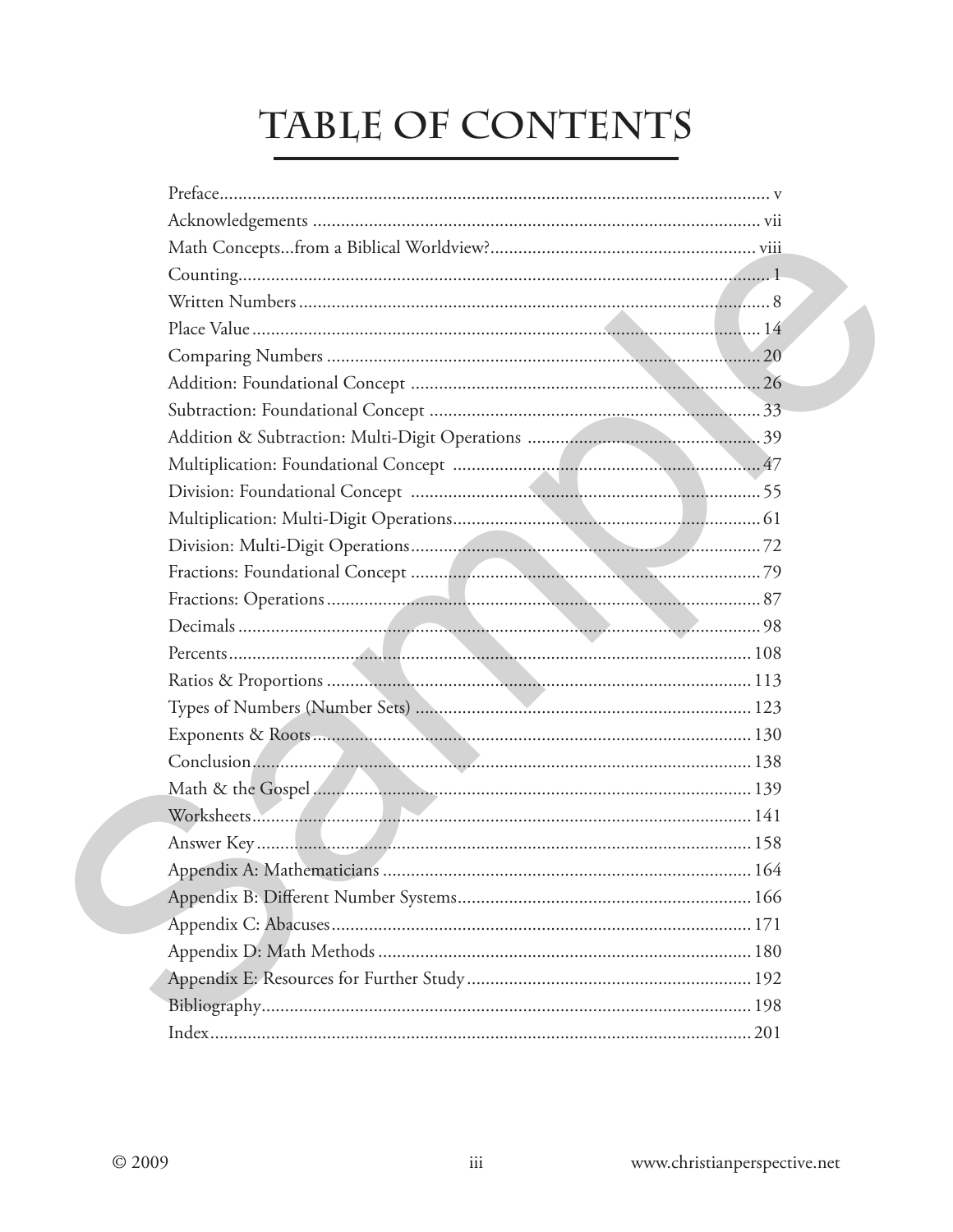# TABLE OF CONTENTS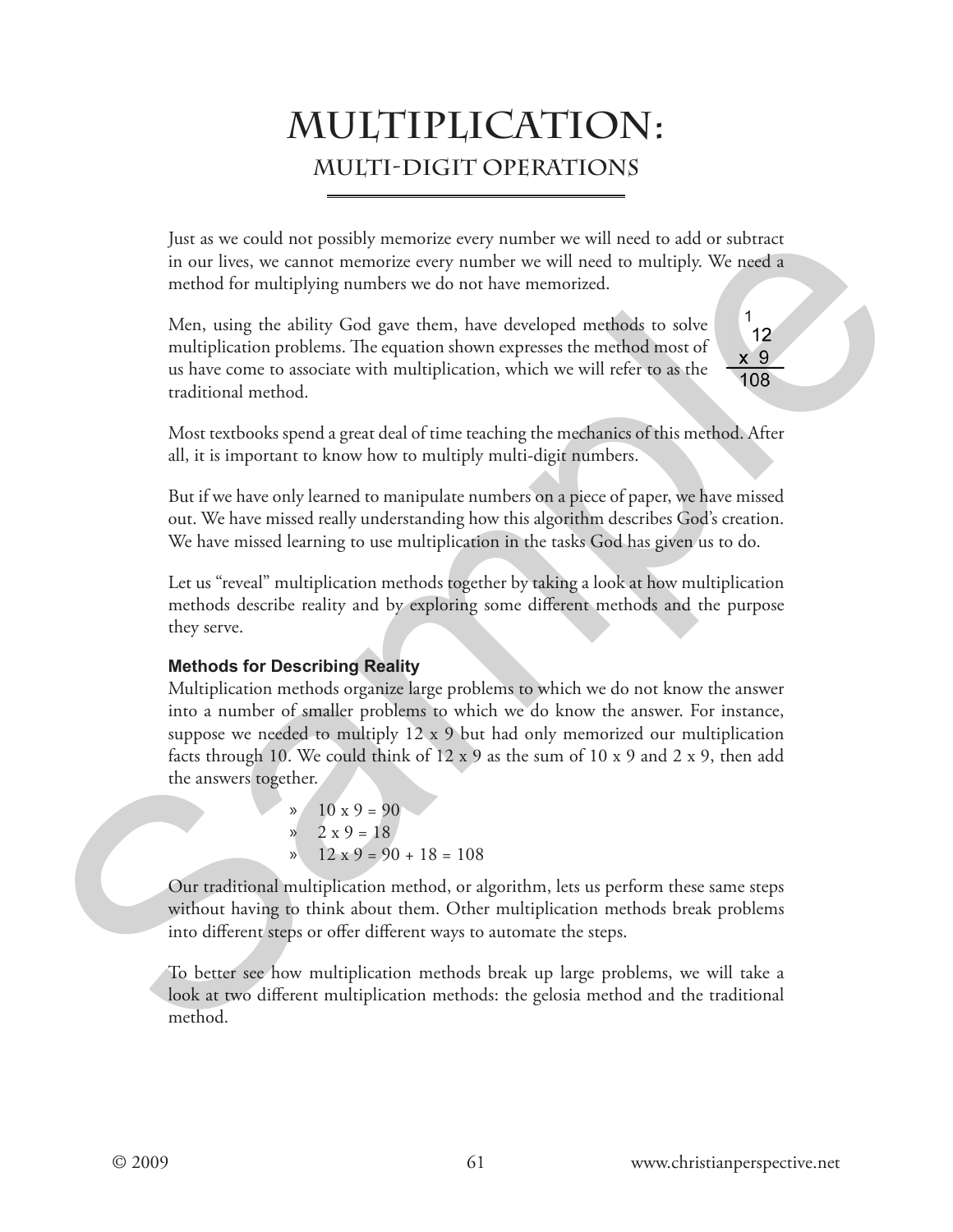# **Multiplication: Multi-Digit Operations**

Just as we could not possibly memorize every number we will need to add or subtract in our lives, we cannot memorize every number we will need to multiply. We need a method for multiplying numbers we do not have memorized.

Men, using the ability God gave them, have developed methods to solve multiplication problems. The equation shown expresses the method most of us have come to associate with multiplication, which we will refer to as the traditional method.

Most textbooks spend a great deal of time teaching the mechanics of this method. After all, it is important to know how to multiply multi-digit numbers.

But if we have only learned to manipulate numbers on a piece of paper, we have missed out. We have missed really understanding how this algorithm describes God's creation. We have missed learning to use multiplication in the tasks God has given us to do.

Let us "reveal" multiplication methods together by taking a look at how multiplication methods describe reality and by exploring some different methods and the purpose they serve.

#### **Methods for Describing Reality**

Multiplication methods organize large problems to which we do not know the answer into a number of smaller problems to which we do know the answer. For instance, suppose we needed to multiply 12 x 9 but had only memorized our multiplication facts through 10. We could think of 12 x 9 as the sum of 10 x 9 and 2 x 9, then add the answers together. Just a see condition on possibly mean<br>of the case of the area for the stress of the conditional model of<br>the later of the stress of the based and the stress of the stress of<br>except method for multiplying numbers we do not

$$
10 \times 9 = 90
$$
  
\n
$$
2 \times 9 = 18
$$
  
\n
$$
12 \times 9 = 90 + 18 = 108
$$

Our traditional multiplication method, or algorithm, lets us perform these same steps without having to think about them. Other multiplication methods break problems into different steps or offer different ways to automate the steps.

To better see how multiplication methods break up large problems, we will take a look at two different multiplication methods: the gelosia method and the traditional method.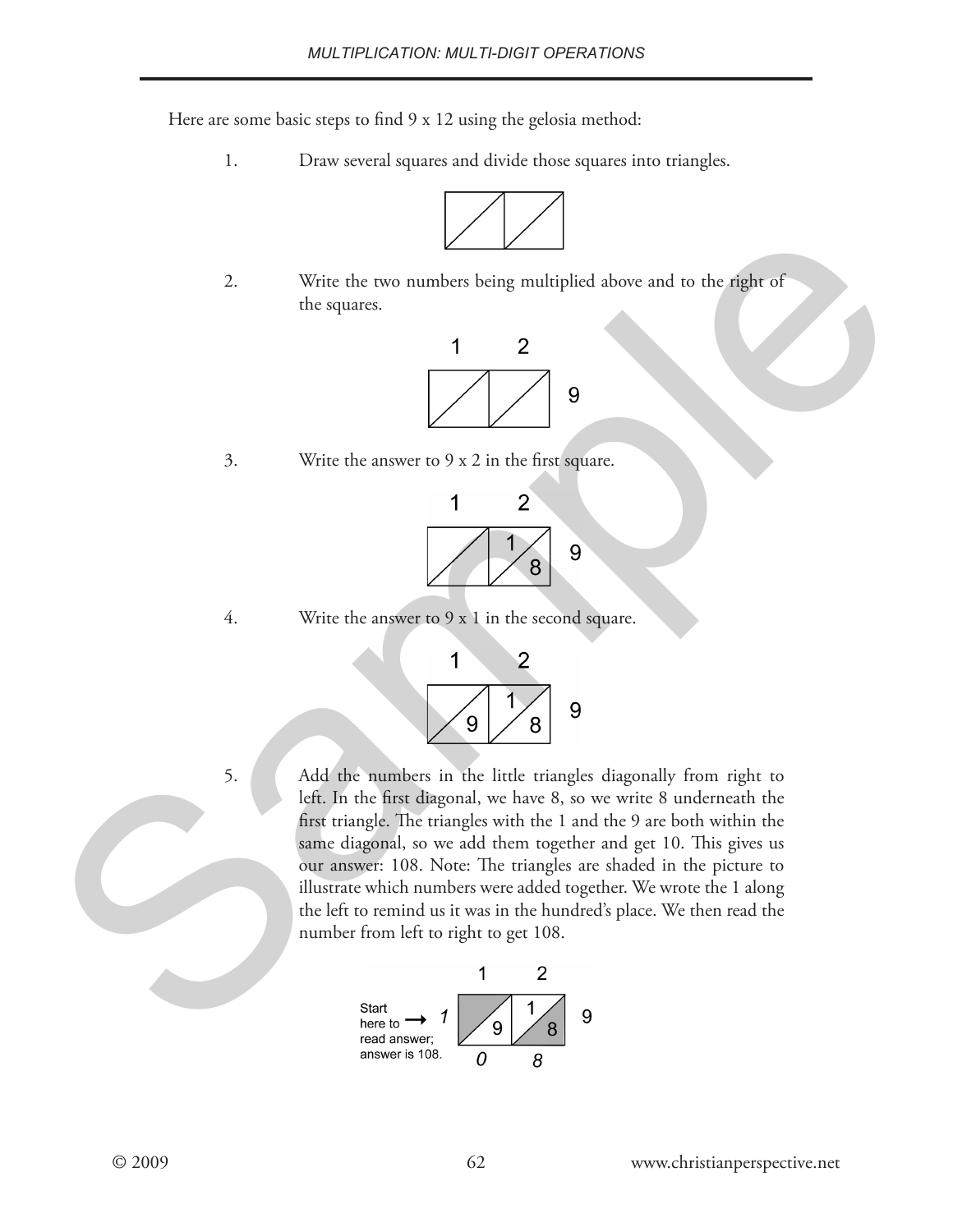Here are some basic steps to find 9 x 12 using the gelosia method:

1. Draw several squares and divide those squares into triangles.



2. Write the two numbers being multiplied above and to the right of the squares.



3. Write the answer to 9 x 2 in the first square.



4. Write the answer to 9 x 1 in the second square.



5. Add the numbers in the little triangles diagonally from right to left. In the first diagonal, we have 8, so we write 8 underneath the first triangle. The triangles with the 1 and the 9 are both within the same diagonal, so we add them together and get 10. This gives us our answer: 108. Note: The triangles are shaded in the picture to illustrate which numbers were added together. We wrote the 1 along the left to remind us it was in the hundred's place. We then read the number from left to right to get 108. 2. Write the two numbers being multiplied above and to the right of<br>the squares.<br>  $\frac{1}{2}$ <br>
3. Write the answer to 9 x 2 in the first square.<br>
4. Write the answer to 9 x 2 in the second square.<br>
4. Write the answer to 9

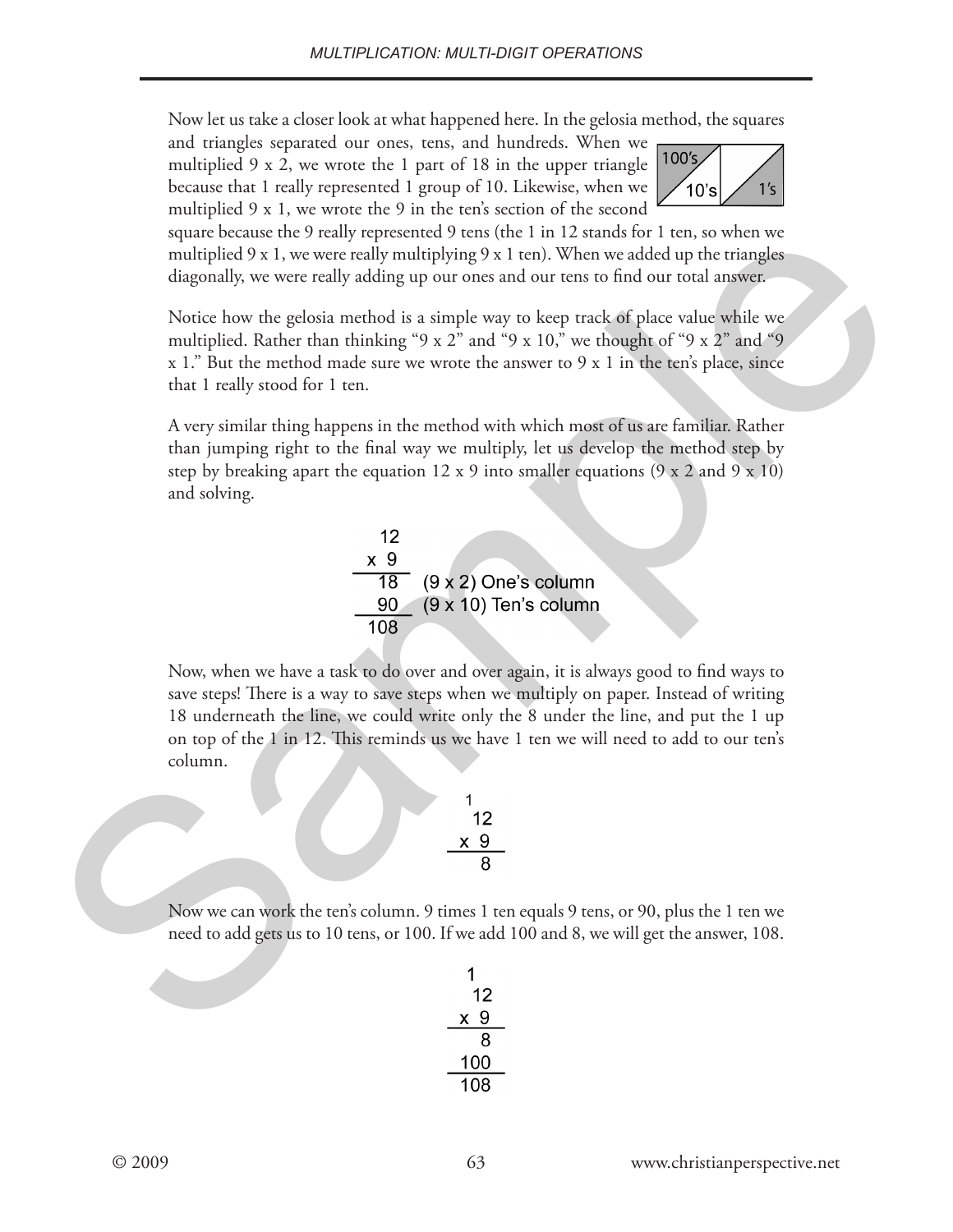Now let us take a closer look at what happened here. In the gelosia method, the squares

and triangles separated our ones, tens, and hundreds. When we multiplied 9 x 2, we wrote the 1 part of 18 in the upper triangle because that 1 really represented 1 group of 10. Likewise, when we multiplied 9 x 1, we wrote the 9 in the ten's section of the second



square because the 9 really represented 9 tens (the 1 in 12 stands for 1 ten, so when we multiplied 9 x 1, we were really multiplying 9 x 1 ten). When we added up the triangles diagonally, we were really adding up our ones and our tens to find our total answer.

Notice how the gelosia method is a simple way to keep track of place value while we multiplied. Rather than thinking "9 x 2" and "9 x 10," we thought of "9 x 2" and "9 x 1." But the method made sure we wrote the answer to 9 x 1 in the ten's place, since that 1 really stood for 1 ten.

A very similar thing happens in the method with which most of us are familiar. Rather than jumping right to the final way we multiply, let us develop the method step by step by breaking apart the equation 12 x 9 into smaller equations  $(9 \times 2 \text{ and } 9 \times 10)$ and solving.



Now, when we have a task to do over and over again, it is always good to find ways to save steps! There is a way to save steps when we multiply on paper. Instead of writing 18 underneath the line, we could write only the 8 under the line, and put the 1 up on top of the 1 in 12. This reminds us we have 1 ten we will need to add to our ten's column. square because the 9 reality represented 9 real to 1 in 12 stands for 1 ten, so when we<br>multipled 9 s.1, we were really multiplying 9 x 1 cen.). When we dded up the triangles<br>diagonally, we were really adding up our ones

$$
\begin{array}{c}\n1 \\
12 \\
x 9 \\
8\n\end{array}
$$

Now we can work the ten's column. 9 times 1 ten equals 9 tens, or 90, plus the 1 ten we need to add gets us to 10 tens, or 100. If we add 100 and 8, we will get the answer, 108.

$$
\begin{array}{c}\n1 \\
12 \\
\times 9 \\
\hline\n8 \\
100 \\
\hline\n108\n\end{array}
$$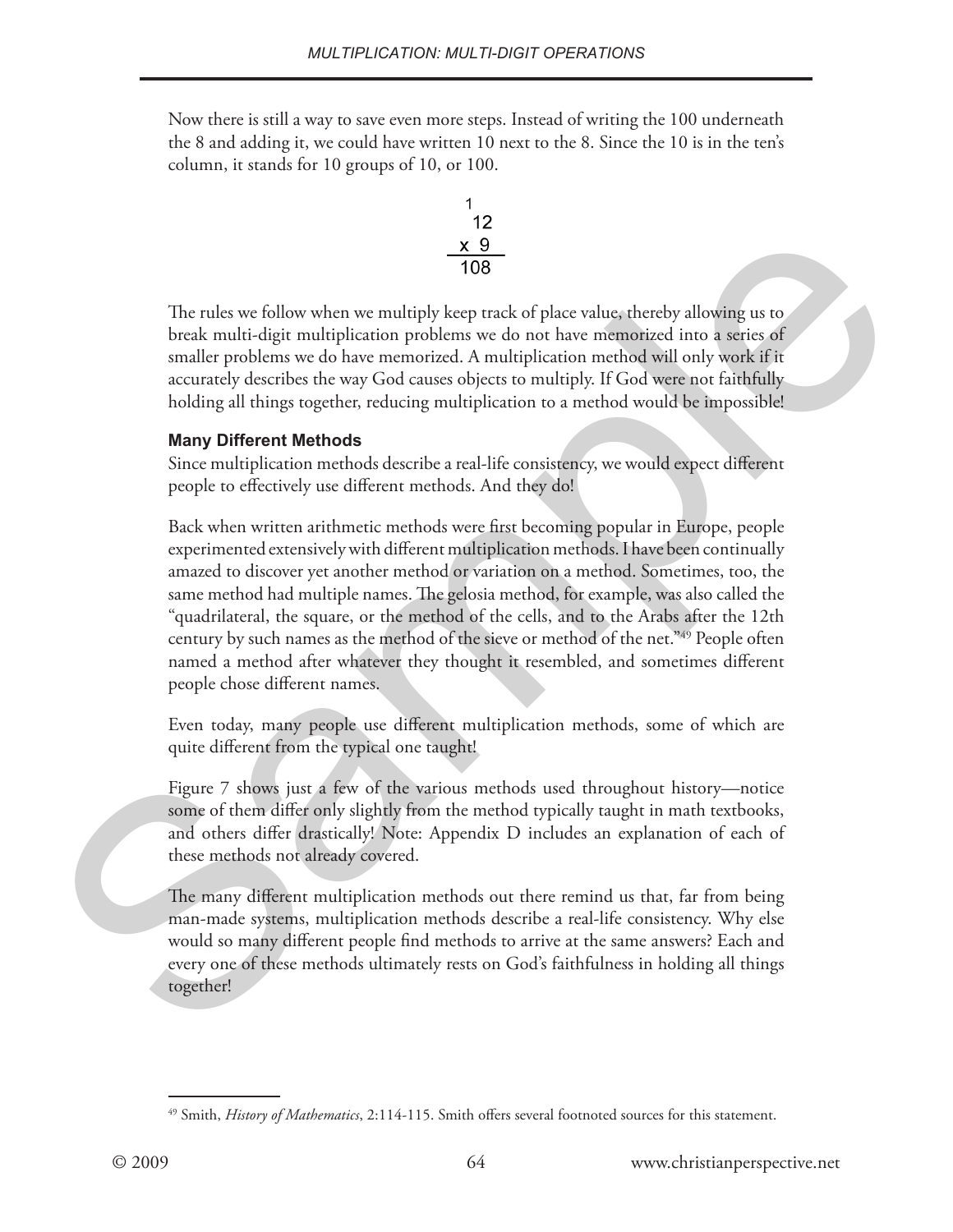Now there is still a way to save even more steps. Instead of writing the 100 underneath the 8 and adding it, we could have written 10 next to the 8. Since the 10 is in the ten's column, it stands for 10 groups of 10, or 100.

$$
\begin{array}{c}\n1 \\
12 \\
x 9 \\
\hline\n108\n\end{array}
$$

The rules we follow when we multiply keep track of place value, thereby allowing us to break multi-digit multiplication problems we do not have memorized into a series of smaller problems we do have memorized. A multiplication method will only work if it accurately describes the way God causes objects to multiply. If God were not faithfully holding all things together, reducing multiplication to a method would be impossible!

#### **Many Different Methods**

Since multiplication methods describe a real-life consistency, we would expect different people to effectively use different methods. And they do!

Back when written arithmetic methods were first becoming popular in Europe, people experimented extensively with different multiplication methods. I have been continually amazed to discover yet another method or variation on a method. Sometimes, too, the same method had multiple names. The gelosia method, for example, was also called the "quadrilateral, the square, or the method of the cells, and to the Arabs after the 12th century by such names as the method of the sieve or method of the net."49 People often named a method after whatever they thought it resembled, and sometimes different people chose different names.  $\begin{tabular}{l|c|c|c|c|c|c} \hline & $\mathbf{X}$ & $\mathbf{B}$ \\ \hline \hline \end{tabular} \hline \begin{tabular}{l|c|c|c|c|c} \hline \multicolumn{1}{l}{\textbf{X} & $\mathbf{B}$ \\ \hline \end{tabular} \hline \begin{tabular}{l|c|c|c|c} \hline \multicolumn{1}{l}{\textbf{X} & $\mathbf{B}$ \\ \hline \end{tabular} \hline \begin{tabular}{l|c|c|c} \hline \multicolumn{1}{l}{\textbf{X} & $\mathbf{B}$ \\ \hline \end{tabular} \hline \begin{tabular$ 

Even today, many people use different multiplication methods, some of which are quite different from the typical one taught!

Figure 7 shows just a few of the various methods used throughout history—notice some of them differ only slightly from the method typically taught in math textbooks, and others differ drastically! Note: Appendix D includes an explanation of each of these methods not already covered.

The many different multiplication methods out there remind us that, far from being man-made systems, multiplication methods describe a real-life consistency. Why else would so many different people find methods to arrive at the same answers? Each and every one of these methods ultimately rests on God's faithfulness in holding all things together!

<sup>49</sup> Smith, *History of Mathematics*, 2:114-115. Smith offers several footnoted sources for this statement.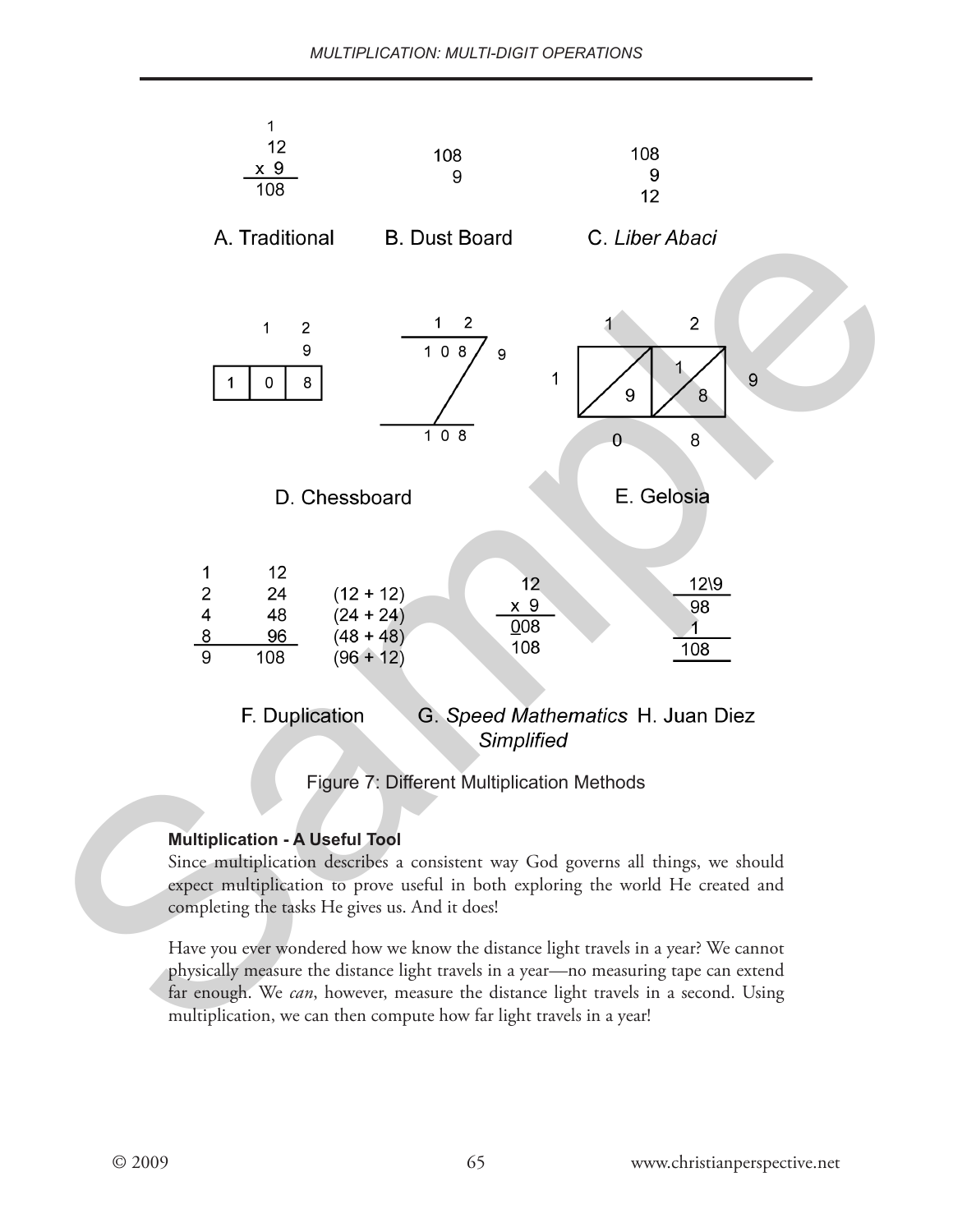

Figure 7: Different Multiplication Methods

#### **Multiplication - A Useful Tool**

Since multiplication describes a consistent way God governs all things, we should expect multiplication to prove useful in both exploring the world He created and completing the tasks He gives us. And it does!

Have you ever wondered how we know the distance light travels in a year? We cannot physically measure the distance light travels in a year—no measuring tape can extend far enough. We *can*, however, measure the distance light travels in a second. Using multiplication, we can then compute how far light travels in a year!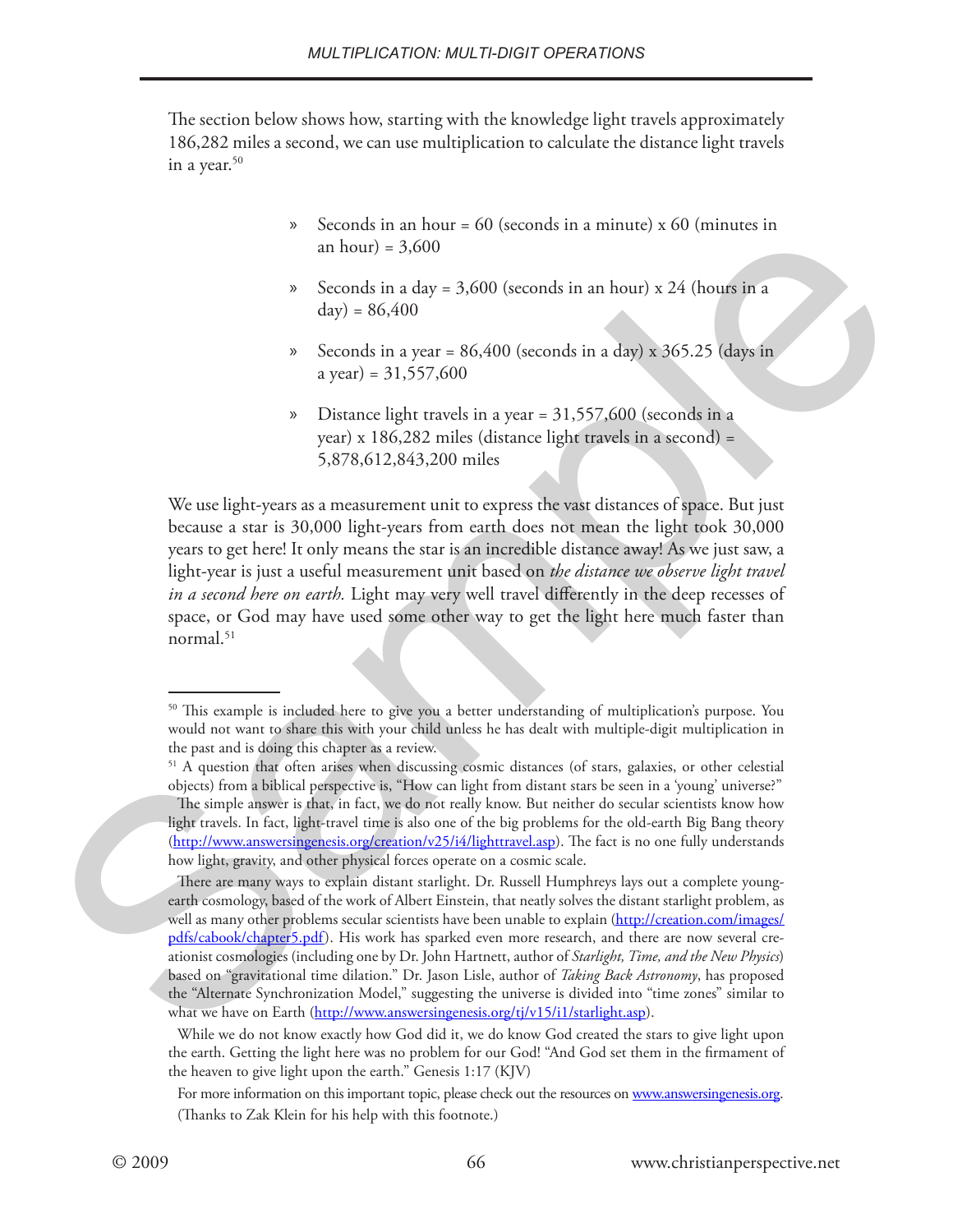The section below shows how, starting with the knowledge light travels approximately 186,282 miles a second, we can use multiplication to calculate the distance light travels in a year. $50$ 

- $\degree$  Seconds in an hour = 60 (seconds in a minute) x 60 (minutes in an hour) =  $3,600$
- » Seconds in a day =  $3,600$  (seconds in an hour) x 24 (hours in a  $day) = 86,400$
- » Seconds in a year =  $86,400$  (seconds in a day) x  $365.25$  (days in a year) =  $31,557,600$
- Distance light travels in a year =  $31,557,600$  (seconds in a year) x 186,282 miles (distance light travels in a second) = 5,878,612,843,200 miles

We use light-years as a measurement unit to express the vast distances of space. But just because a star is 30,000 light-years from earth does not mean the light took 30,000 years to get here! It only means the star is an incredible distance away! As we just saw, a light-year is just a useful measurement unit based on *the distance we observe light travel in a second here on earth.* Light may very well travel differently in the deep recesses of space, or God may have used some other way to get the light here much faster than  $normal.$ <sup>51</sup> s [a](http://www.answersingenesis.org/creation/v25/i4/lighttravel.asp)ction on the set of space and a matrix of the space of the space of the space of the space of the space of the space of the space of the space of the space of the space of the space of the space of the space of the spa

<sup>&</sup>lt;sup>50</sup> This example is included here to give you a better understanding of multiplication's purpose. You would not want to share this with your child unless he has dealt with multiple-digit multiplication in the past and is doing this chapter as a review.

<sup>&</sup>lt;sup>51</sup> A question that often arises when discussing cosmic distances (of stars, galaxies, or other celestial objects) from a biblical perspective is, "How can light from distant stars be seen in a 'young' universe?"

The simple answer is that, in fact, we do not really know. But neither do secular scientists know how light travels. In fact, light-travel time is also one of the big problems for the old-earth Big Bang theory (http://www.answersingenesis.org/creation/v25/i4/lighttravel.asp). The fact is no one fully understands how light, gravity, and other physical forces operate on a cosmic scale.

There are many ways to explain distant starlight. Dr. Russell Humphreys lays out a complete youngearth cosmology, based of the work of Albert Einstein, that neatly solves the distant starlight problem, as well as many other problems secular scientists have been unable to explain (http://creation.com/images/ pdfs/cabook/chapter5.pdf). His work has sparked even more research, and there are now several creationist cosmologies (including one by Dr. John Hartnett, author of *Starlight, Time, and the New Physics*) based on "gravitational time dilation." Dr. Jason Lisle, author of *Taking Back Astronomy*, has proposed the "Alternate Synchronization Model," suggesting the universe is divided into "time zones" similar to what we have on Earth (http://www.answersingenesis.org/tj/v15/i1/starlight.asp).

While we do not know exactly how God did it, we do know God created the stars to give light upon the earth. Getting the light here was no problem for our God! "And God set them in the firmament of the heaven to give light upon the earth." Genesis 1:17 (KJV)

For more information on this important topic, please check out the resources on<www.answersingenesis.org>. (Thanks to Zak Klein for his help with this footnote.)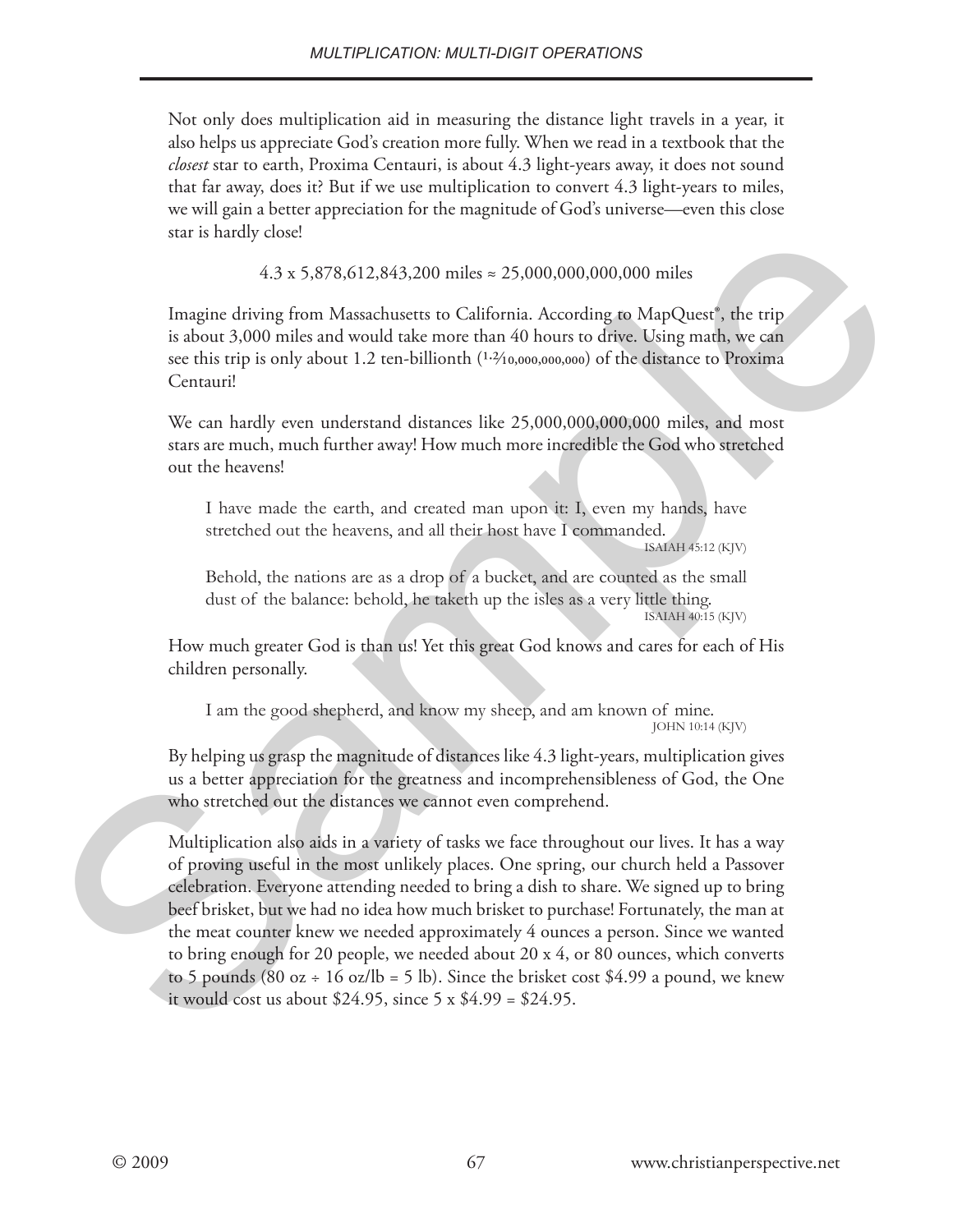Not only does multiplication aid in measuring the distance light travels in a year, it also helps us appreciate God's creation more fully. When we read in a textbook that the *closest* star to earth, Proxima Centauri, is about 4.3 light-years away, it does not sound that far away, does it? But if we use multiplication to convert 4.3 light-years to miles, we will gain a better appreciation for the magnitude of God's universe—even this close star is hardly close!

 $4.3 \times 5,878,612,843,200 \text{ miles} \approx 25,000,000,000,000 \text{ miles}$ 

Imagine driving from Massachusetts to California. According to MapQuest®, the trip is about 3,000 miles and would take more than 40 hours to drive. Using math, we can see this trip is only about 1.2 ten-billionth (1.2/10,000,000,000) of the distance to Proxima Centauri!

We can hardly even understand distances like 25,000,000,000,000 miles, and most stars are much, much further away! How much more incredible the God who stretched out the heavens!

I have made the earth, and created man upon it: I, even my hands, have stretched out the heavens, and all their host have I commanded.

ISAIAH 45:12 (KJV)

Behold, the nations are as a drop of a bucket, and are counted as the small dust of the balance: behold, he taketh up the isles as a very little thing. ISAIAH 40:15 (KJV)

How much greater God is than us! Yet this great God knows and cares for each of His children personally.

I am the good shepherd, and know my sheep, and am known of mine. JOHN 10:14 (KJV)

By helping us grasp the magnitude of distances like 4.3 light-years, multiplication gives us a better appreciation for the greatness and incomprehensibleness of God, the One who stretched out the distances we cannot even comprehend.

Multiplication also aids in a variety of tasks we face throughout our lives. It has a way of proving useful in the most unlikely places. One spring, our church held a Passover celebration. Everyone attending needed to bring a dish to share. We signed up to bring beef brisket, but we had no idea how much brisket to purchase! Fortunately, the man at the meat counter knew we needed approximately 4 ounces a person. Since we wanted to bring enough for 20 people, we needed about 20 x 4, or 80 ounces, which converts to 5 pounds (80 oz  $\div$  16 oz/lb = 5 lb). Since the brisket cost \$4.99 a pound, we knew it would cost us about \$24.95, since 5 x \$4.99 = \$24.95. star is hardly close!<br>
4.3 × 5,3 × 5,878,612,443,200 miles = 25,000,000,000,000,000 miles<br>
1.engine driving from Massachuseuts to California. According at MapQuead, the trip<br>
is about 5,000 miles and would take more than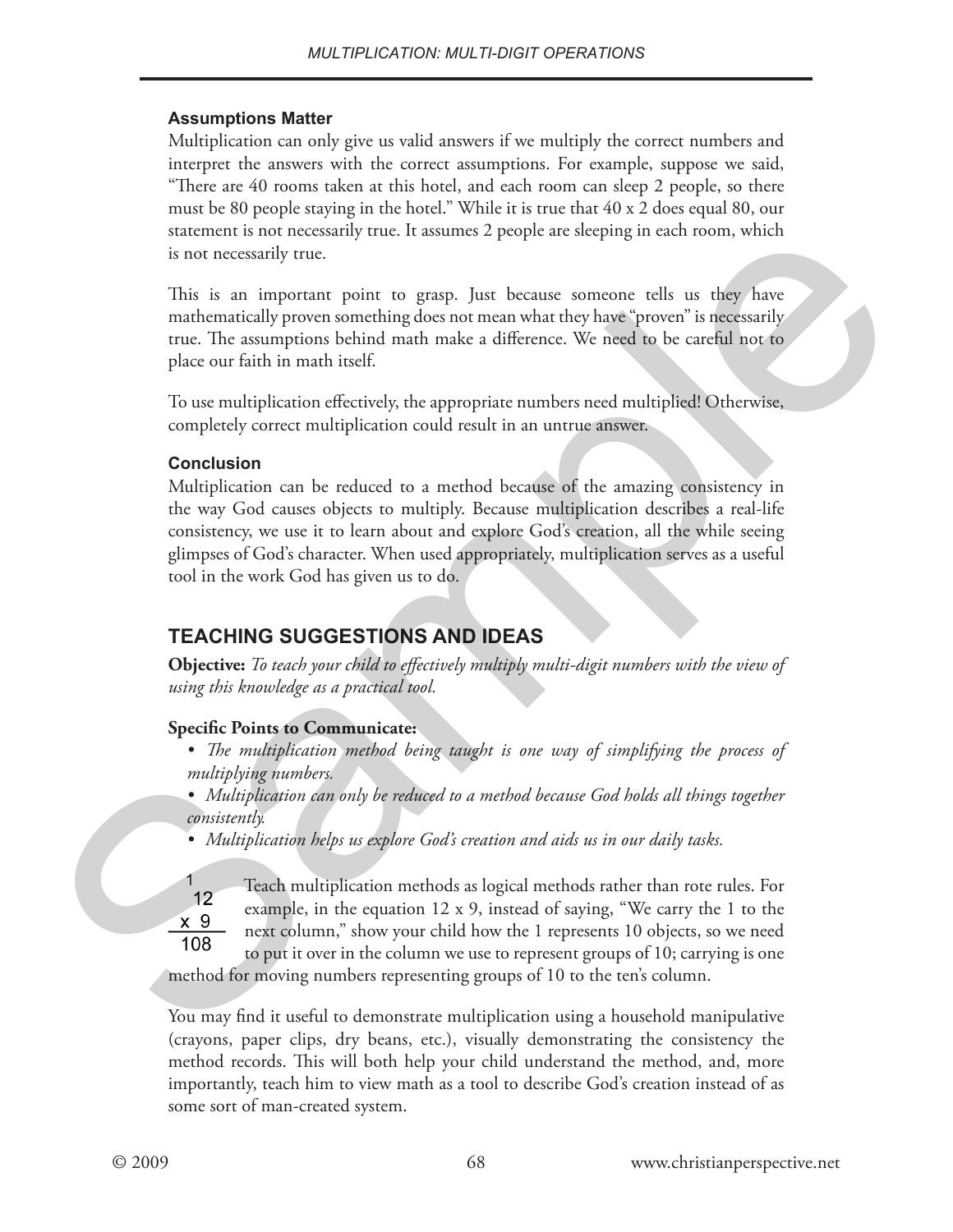#### **Assumptions Matter**

Multiplication can only give us valid answers if we multiply the correct numbers and interpret the answers with the correct assumptions. For example, suppose we said, "There are 40 rooms taken at this hotel, and each room can sleep 2 people, so there must be 80 people staying in the hotel." While it is true that 40 x 2 does equal 80, our statement is not necessarily true. It assumes 2 people are sleeping in each room, which is not necessarily true.

This is an important point to grasp. Just because someone tells us they have mathematically proven something does not mean what they have "proven" is necessarily true. The assumptions behind math make a difference. We need to be careful not to place our faith in math itself.

To use multiplication effectively, the appropriate numbers need multiplied! Otherwise, completely correct multiplication could result in an untrue answer.

#### **Conclusion**

Multiplication can be reduced to a method because of the amazing consistency in the way God causes objects to multiply. Because multiplication describes a real-life consistency, we use it to learn about and explore God's creation, all the while seeing glimpses of God's character. When used appropriately, multiplication serves as a useful tool in the work God has given us to do. statement is non-accosarily true. It assumes 2 people are steeping in each noon, which<br>is not necessarily true. The summation point of gasp. Just because someone relie us they have<br>mathematically proves non-acching does n

# **TEACHING SUGGESTIONS AND IDEAS**

**Objective:** *To teach your child to effectively multiply multi-digit numbers with the view of using this knowledge as a practical tool.* 

#### **Specific Points to Communicate:**

- *• The multiplication method being taught is one way of simplifying the process of multiplying numbers.*
- *• Multiplication can only be reduced to a method because God holds all things together consistently.*
- *• Multiplication helps us explore God's creation and aids us in our daily tasks.*



Teach multiplication methods as logical methods rather than rote rules. For example, in the equation 12 x 9, instead of saying, "We carry the 1 to the next column," show your child how the 1 represents 10 objects, so we need to put it over in the column we use to represent groups of 10; carrying is one

method for moving numbers representing groups of 10 to the ten's column.

You may find it useful to demonstrate multiplication using a household manipulative (crayons, paper clips, dry beans, etc.), visually demonstrating the consistency the method records. This will both help your child understand the method, and, more importantly, teach him to view math as a tool to describe God's creation instead of as some sort of man-created system.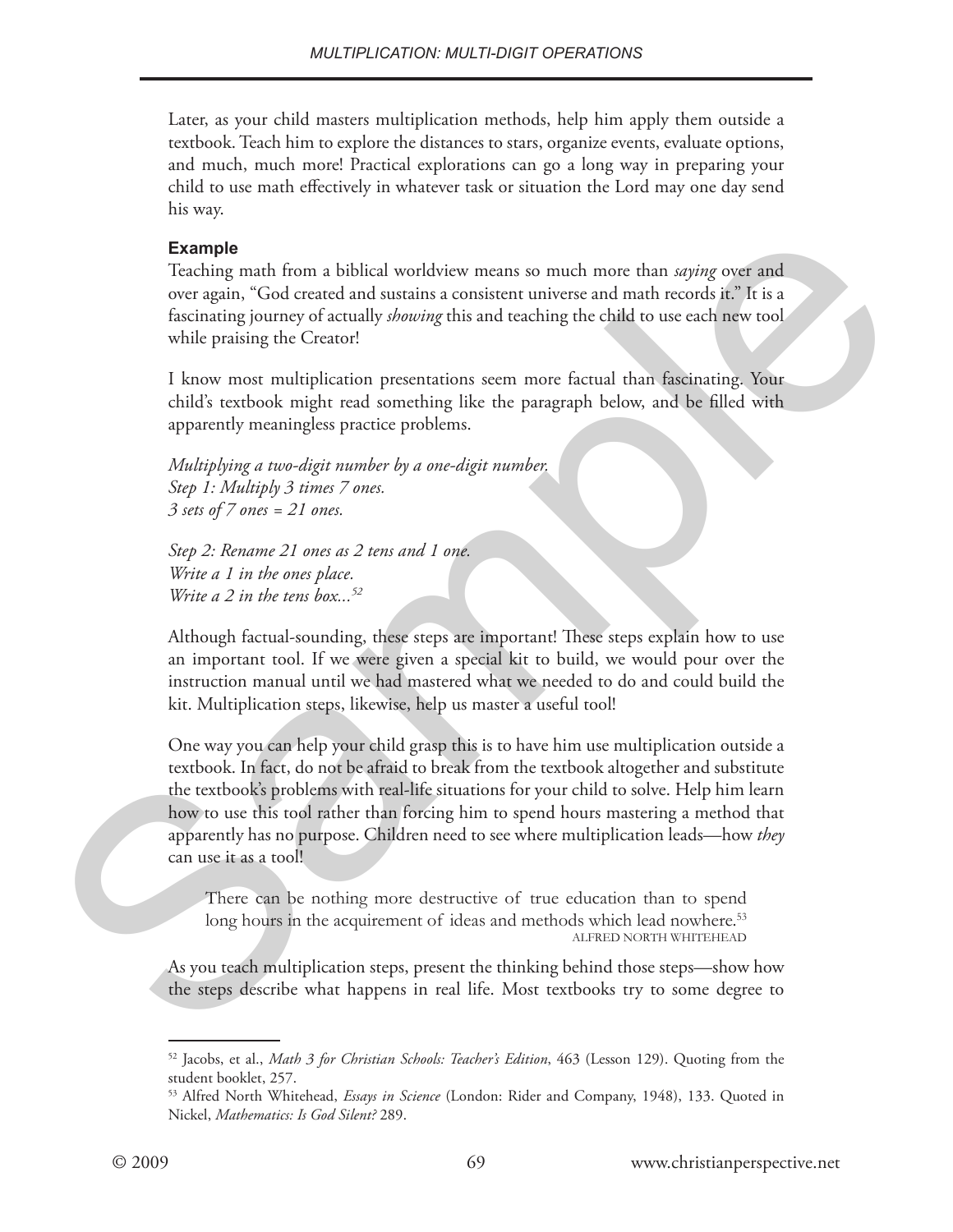Later, as your child masters multiplication methods, help him apply them outside a textbook. Teach him to explore the distances to stars, organize events, evaluate options, and much, much more! Practical explorations can go a long way in preparing your child to use math effectively in whatever task or situation the Lord may one day send his way.

#### **Example**

Teaching math from a biblical worldview means so much more than *saying* over and over again, "God created and sustains a consistent universe and math records it." It is a fascinating journey of actually *showing* this and teaching the child to use each new tool while praising the Creator!

I know most multiplication presentations seem more factual than fascinating. Your child's textbook might read something like the paragraph below, and be filled with apparently meaningless practice problems.

*Multiplying a two-digit number by a one-digit number. Step 1: Multiply 3 times 7 ones. 3 sets of 7 ones = 21 ones.* 

*Step 2: Rename 21 ones as 2 tens and 1 one. Write a 1 in the ones place. Write a 2 in the tens box...52*

Although factual-sounding, these steps are important! These steps explain how to use an important tool. If we were given a special kit to build, we would pour over the instruction manual until we had mastered what we needed to do and could build the kit. Multiplication steps, likewise, help us master a useful tool!

One way you can help your child grasp this is to have him use multiplication outside a textbook. In fact, do not be afraid to break from the textbook altogether and substitute the textbook's problems with real-life situations for your child to solve. Help him learn how to use this tool rather than forcing him to spend hours mastering a method that apparently has no purpose. Children need to see where multiplication leads—how *they* can use it as a tool! **Example**<br>
Teaching math from a biblical worldview means so much more than *saying* over and<br>
Teaching in Cool created and surtain a consistent universe and math records it. This a<br>
factoring the Created and surface is is

There can be nothing more destructive of true education than to spend long hours in the acquirement of ideas and methods which lead nowhere.<sup>53</sup> ALFRED NORTH WHITEHEAD

As you teach multiplication steps, present the thinking behind those steps—show how the steps describe what happens in real life. Most textbooks try to some degree to

<sup>52</sup> Jacobs, et al., *Math 3 for Christian Schools: Teacher's Edition*, 463 (Lesson 129). Quoting from the student booklet, 257.

<sup>53</sup> Alfred North Whitehead, *Essays in Science* (London: Rider and Company, 1948), 133. Quoted in Nickel, *Mathematics: Is God Silent?* 289.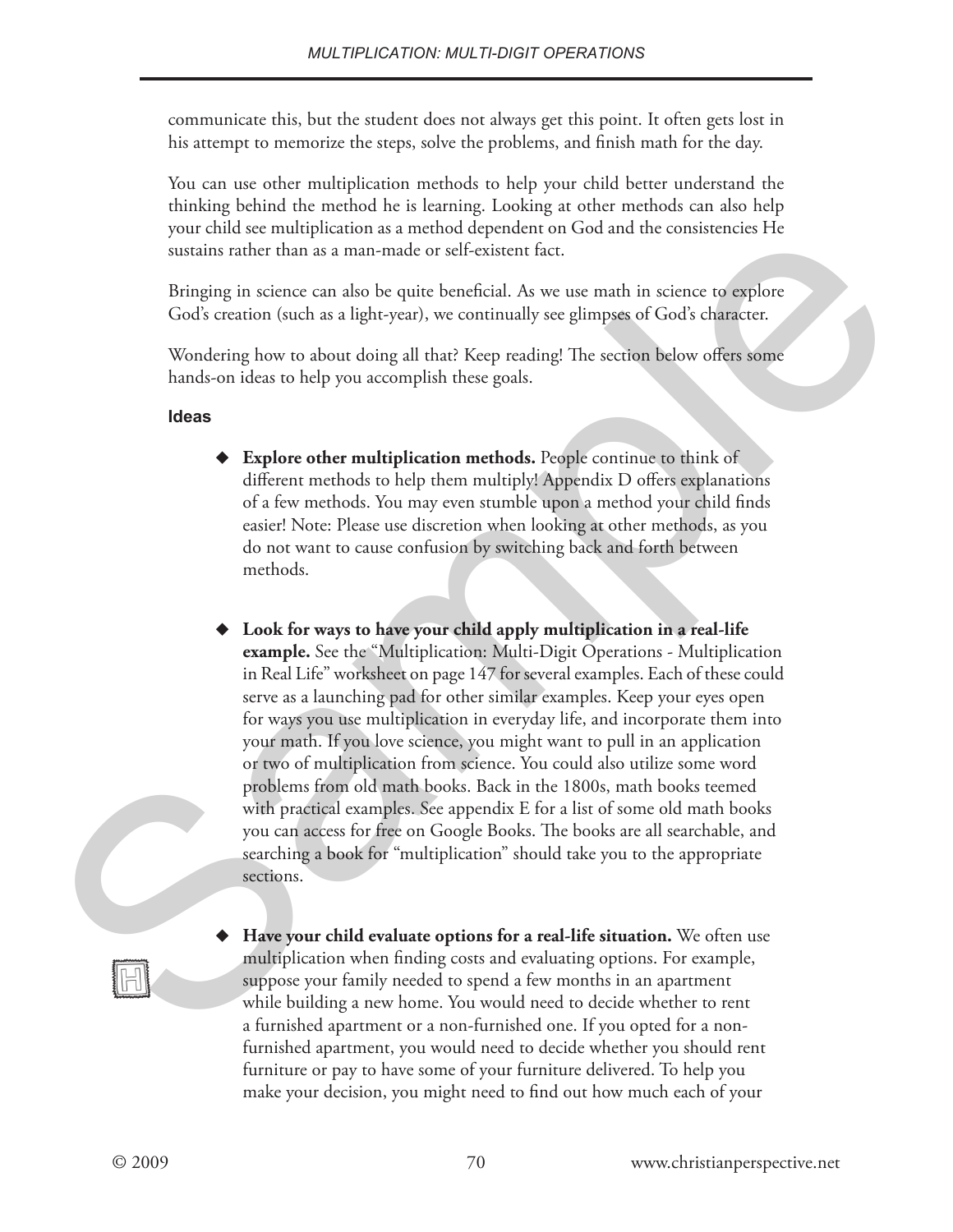communicate this, but the student does not always get this point. It often gets lost in his attempt to memorize the steps, solve the problems, and finish math for the day.

You can use other multiplication methods to help your child better understand the thinking behind the method he is learning. Looking at other methods can also help your child see multiplication as a method dependent on God and the consistencies He sustains rather than as a man-made or self-existent fact.

Bringing in science can also be quite beneficial. As we use math in science to explore God's creation (such as a light-year), we continually see glimpses of God's character.

Wondering how to about doing all that? Keep reading! The section below offers some hands-on ideas to help you accomplish these goals.

#### **Ideas**

- **Explore other multiplication methods.** People continue to think of different methods to help them multiply! Appendix D offers explanations of a few methods. You may even stumble upon a method your child finds easier! Note: Please use discretion when looking at other methods, as you do not want to cause confusion by switching back and forth between methods.
- **Look for ways to have your child apply multiplication in a real-life example.** See the "Multiplication: Multi-Digit Operations - Multiplication in Real Life" worksheet on page 147 for several examples. Each of these could serve as a launching pad for other similar examples. Keep your eyes open for ways you use multiplication in everyday life, and incorporate them into your math. If you love science, you might want to pull in an application or two of multiplication from science. You could also utilize some word problems from old math books. Back in the 1800s, math books teemed with practical examples. See appendix E for a list of some old math books you can access for free on Google Books. The books are all searchable, and searching a book for "multiplication" should take you to the appropriate sections. spectralial see maturista as a method dependent on lood and the consistence is a sample of exaction for the spectral spectral spectral in the section (see Figure ), and the spectral spectral spectral in the section between
	- **Have your child evaluate options for a real-life situation.** We often use multiplication when finding costs and evaluating options. For example, suppose your family needed to spend a few months in an apartment while building a new home. You would need to decide whether to rent a furnished apartment or a non-furnished one. If you opted for a nonfurnished apartment, you would need to decide whether you should rent furniture or pay to have some of your furniture delivered. To help you make your decision, you might need to find out how much each of your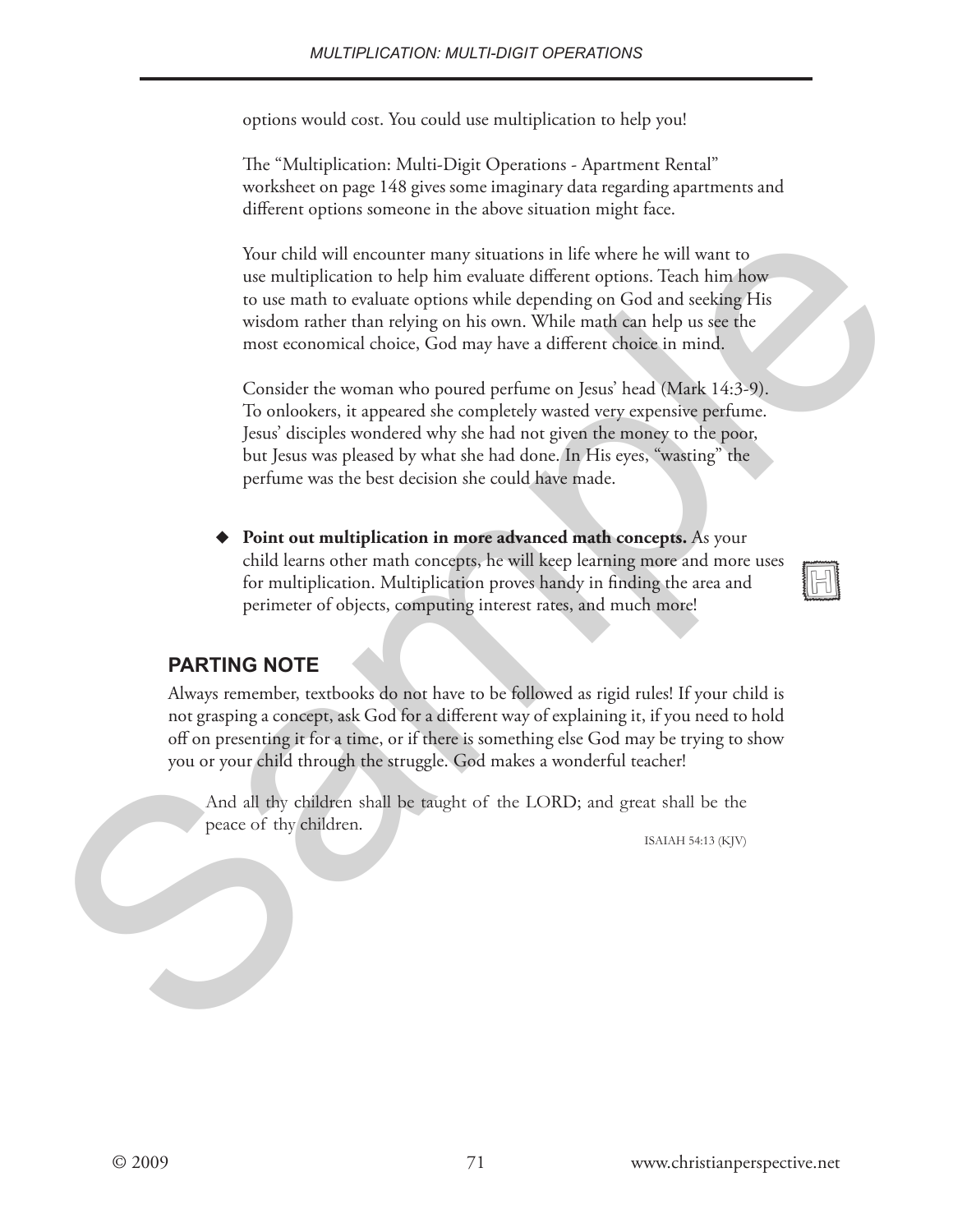options would cost. You could use multiplication to help you!

The "Multiplication: Multi-Digit Operations - Apartment Rental" worksheet on page 148 gives some imaginary data regarding apartments and different options someone in the above situation might face.

Your child will encounter many situations in life where he will want to use multiplication to help him evaluate different options. Teach him how to use math to evaluate options while depending on God and seeking His wisdom rather than relying on his own. While math can help us see the most economical choice, God may have a different choice in mind. Your child will encourage many situations in life where he will want to<br>use multiplication to lead phine equlate different explored in detecting DIs<br>to use math to evaluate options while depending on God and seeking DIs<br>w

Consider the woman who poured perfume on Jesus' head (Mark 14:3-9). To onlookers, it appeared she completely wasted very expensive perfume. Jesus' disciples wondered why she had not given the money to the poor, but Jesus was pleased by what she had done. In His eyes, "wasting" the perfume was the best decision she could have made.

 **Point out multiplication in more advanced math concepts.** As your child learns other math concepts, he will keep learning more and more uses for multiplication. Multiplication proves handy in finding the area and perimeter of objects, computing interest rates, and much more!

# **PARTING NOTE**

Always remember, textbooks do not have to be followed as rigid rules! If your child is not grasping a concept, ask God for a different way of explaining it, if you need to hold off on presenting it for a time, or if there is something else God may be trying to show you or your child through the struggle. God makes a wonderful teacher!

And all thy children shall be taught of the LORD; and great shall be the peace of thy children.

ISAIAH 54:13 (KJV)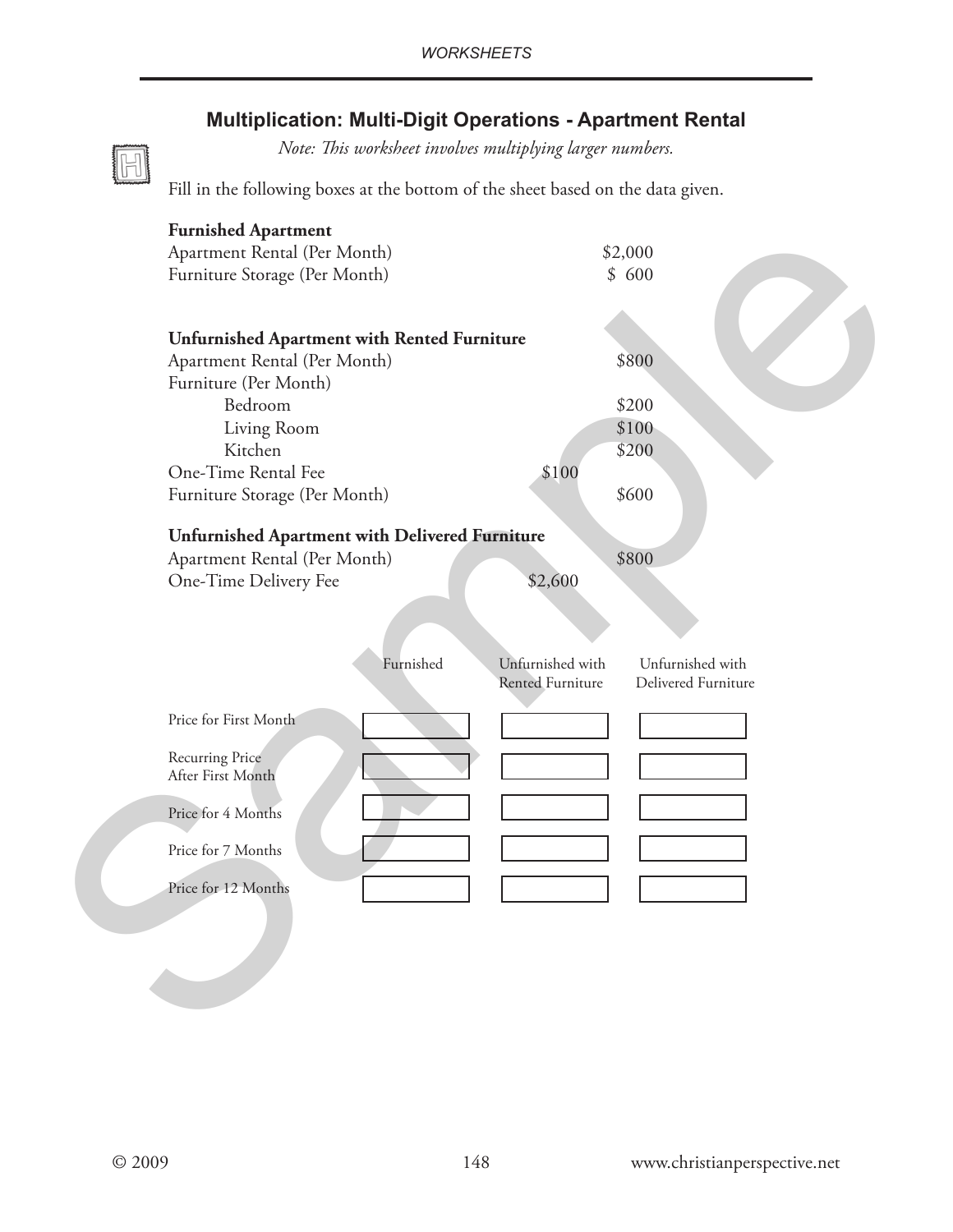## **Multiplication: Multi-Digit Operations - Apartment Rental**

*Note: This worksheet involves multiplying larger numbers.*

Fill in the following boxes at the bottom of the sheet based on the data given.

| <b>Furnished Apartment</b>                            |                                         |
|-------------------------------------------------------|-----------------------------------------|
| Apartment Rental (Per Month)                          | \$2,000                                 |
| Furniture Storage (Per Month)                         | \$600                                   |
|                                                       |                                         |
| <b>Unfurnished Apartment with Rented Furniture</b>    |                                         |
| Apartment Rental (Per Month)                          | \$800                                   |
| Furniture (Per Month)                                 |                                         |
| Bedroom                                               | \$200                                   |
| Living Room                                           | \$100                                   |
| Kitchen                                               | \$200                                   |
| One-Time Rental Fee                                   | \$100                                   |
| Furniture Storage (Per Month)                         | \$600                                   |
|                                                       |                                         |
| <b>Unfurnished Apartment with Delivered Furniture</b> |                                         |
| Apartment Rental (Per Month)                          | \$800                                   |
| One-Time Delivery Fee                                 | \$2,600                                 |
|                                                       |                                         |
|                                                       |                                         |
| Furnished                                             | Unfurnished with<br>Unfurnished with    |
|                                                       | Rented Furniture<br>Delivered Furniture |
| Price for First Month                                 |                                         |
|                                                       |                                         |
| Recurring Price                                       |                                         |
| After First Month                                     |                                         |
| Price for 4 Months                                    |                                         |
| Price for 7 Months                                    |                                         |
| Price for 12 Months                                   |                                         |
|                                                       |                                         |
|                                                       |                                         |

IH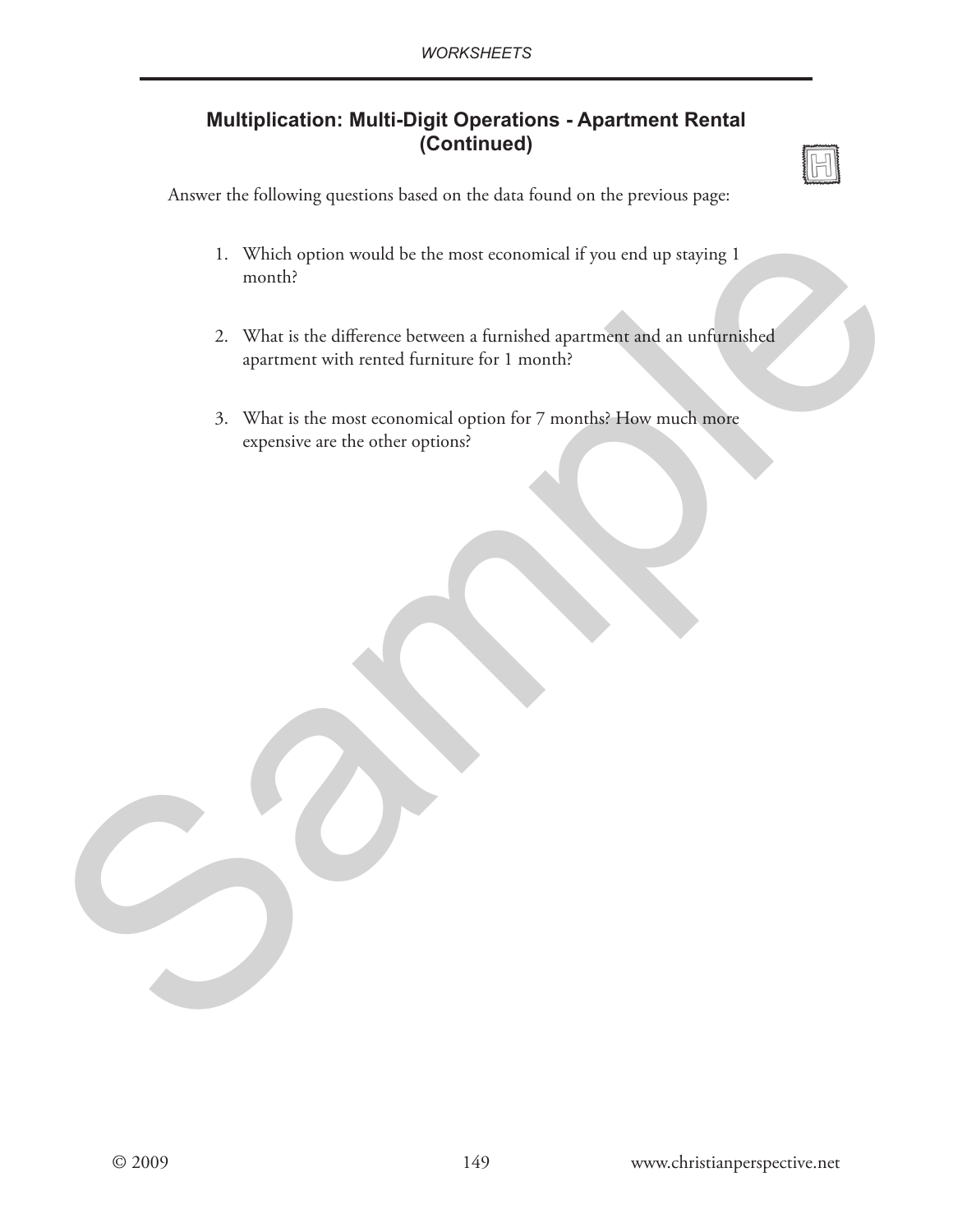# **Multiplication: Multi-Digit Operations - Apartment Rental (Continued)**

Answer the following questions based on the data found on the previous page:

- 1. Which option would be the most economical if you end up staying 1 month?
- 2. What is the difference between a furnished apartment and an unfurnished apartment with rented furniture for 1 month? 1. Which option would be the most economical if you end up staying 1<br>months<br>2. What is the diffusions: between a furnished apartment and an unfinitiality<br>apartment with remed furniture for 1 months How much make<br>expensive
	- 3. What is the most economical option for 7 months? How much more expensive are the other options?

IH